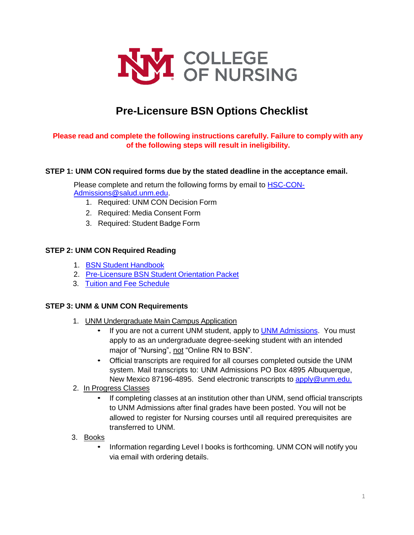

# **Pre-Licensure BSN Options Checklist**

## **Please read and complete the following instructions carefully. Failure to comply with any of the following steps will result in ineligibility.**

### **STEP 1: UNM CON required forms due by the stated deadline in the acceptance email.**

Please complete and return the following forms by email to [HSC-CON-](mailto:HSC-CON-Admissions@salud.unm.edu)[Admissions@salud.unm.edu.](mailto:HSC-CON-Admissions@salud.unm.edu)

- 1. Required: UNM CON Decision Form
- 2. Required: Media Consent Form
- 3. Required: Student Badge Form

#### **STEP 2: UNM CON Required Reading**

- 1. BSN Student [Handbook](https://hsc.unm.edu/nursing/students/resources/handbook.html)
- 2. [Pre-Licensure](https://hsc.unm.edu/nursing/students/start/orientation.html) BSN Student Orientation Packet
- 3. Tuition and Fee [Schedule](https://hsc.unm.edu/nursing/admissions/tuition.html)

#### **STEP 3: UNM & UNM CON Requirements**

- 1. UNM Undergraduate Main Campus Application
	- If you are not a current UNM student, apply to **UNM Admissions**. You must apply to as an undergraduate degree-seeking student with an intended major of "Nursing", not "Online RN to BSN".
	- Official transcripts are required for all courses completed outside the UNM system. Mail transcripts to: UNM Admissions PO Box 4895 Albuquerque, New Mexico 87196-4895. Send electronic transcripts to [apply@unm.edu.](mailto:apply@unm.edu)
- 2. In Progress Classes
	- If completing classes at an institution other than UNM, send official transcripts to UNM Admissions after final grades have been posted. You will not be allowed to register for Nursing courses until all required prerequisites are transferred to UNM.
- 3. Books
	- Information regarding Level I books is forthcoming. UNM CON will notify you via email with ordering details.